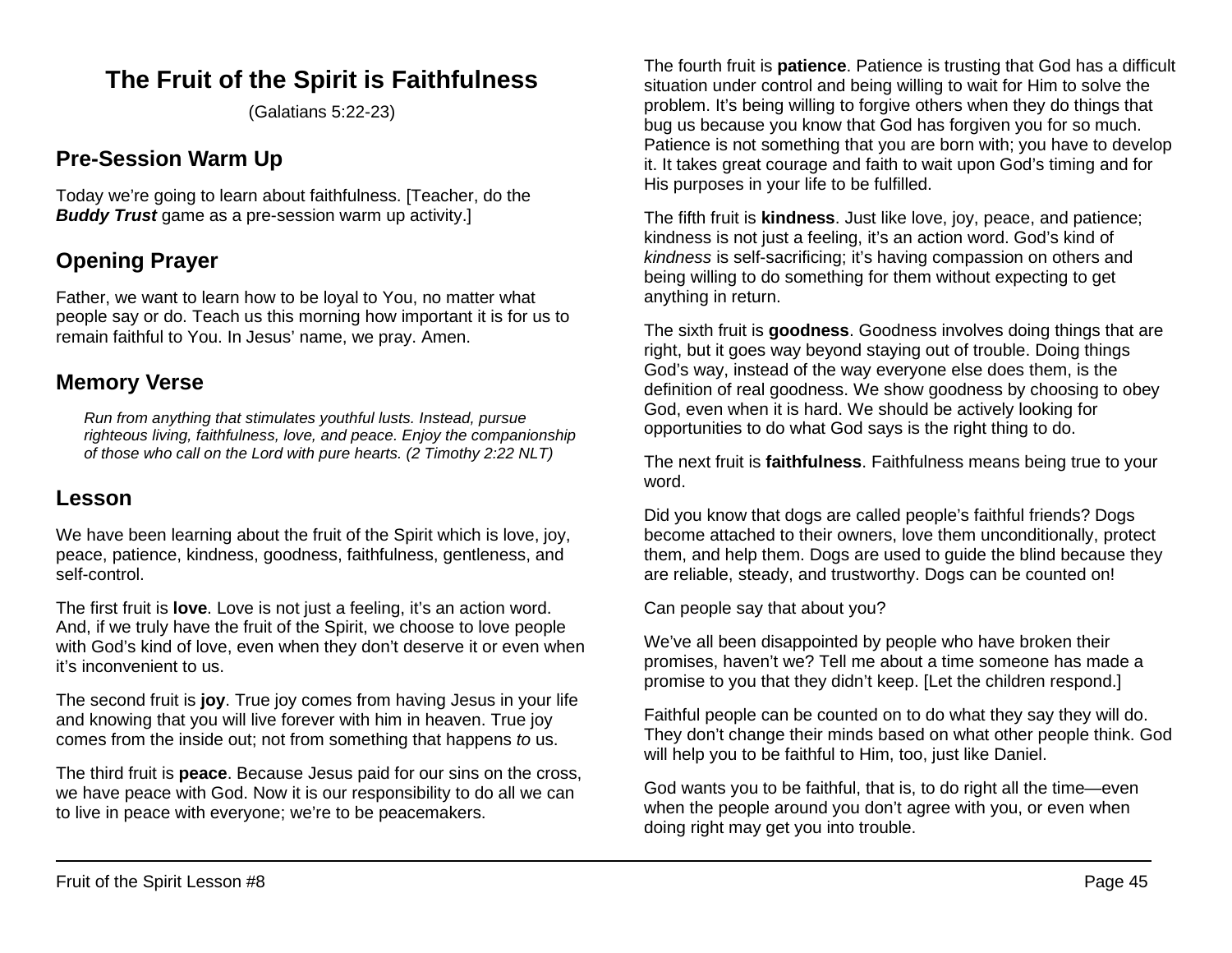# **The Fruit of the Spirit is Faithfulness**

(Galatians 5:22-23)

# **Pre-Session Warm Up**

Today we're going to learn about faithfulness. [Teacher, do the *Buddy Trust* game as a pre-session warm up activity.]

# **Opening Prayer**

Father, we want to learn how to be loyal to You, no matter what people say or do. Teach us this morning how important it is for us to remain faithful to You. In Jesus' name, we pray. Amen.

## **Memory Verse**

*Run from anything that stimulates youthful lusts. Instead, pursue righteous living, faithfulness, love, and peace. Enjoy the companionship of those who call on the Lord with pure hearts. (2 Timothy 2:22 NLT)*

### **Lesson**

We have been learning about the fruit of the Spirit which is love, joy, peace, patience, kindness, goodness, faithfulness, gentleness, and self-control.

The first fruit is **love**. Love is not just a feeling, it's an action word. And, if we truly have the fruit of the Spirit, we choose to love people with God's kind of love, even when they don't deserve it or even when it's inconvenient to us.

The second fruit is **joy**. True joy comes from having Jesus in your life and knowing that you will live forever with him in heaven. True joy comes from the inside out; not from something that happens *to* us.

The third fruit is **peace**. Because Jesus paid for our sins on the cross, we have peace with God. Now it is our responsibility to do all we can to live in peace with everyone; we're to be peacemakers.

The fourth fruit is **patience**. Patience is trusting that God has a difficult situation under control and being willing to wait for Him to solve the problem. It's being willing to forgive others when they do things that bug us because you know that God has forgiven you for so much. Patience is not something that you are born with; you have to develop it. It takes great courage and faith to wait upon God's timing and for His purposes in your life to be fulfilled.

The fifth fruit is **kindness**. Just like love, joy, peace, and patience; kindness is not just a feeling, it's an action word. God's kind of *kindness* is self-sacrificing; it's having compassion on others and being willing to do something for them without expecting to get anything in return.

The sixth fruit is **goodness**. Goodness involves doing things that are right, but it goes way beyond staying out of trouble. Doing things God's way, instead of the way everyone else does them, is the definition of real goodness. We show goodness by choosing to obey God, even when it is hard. We should be actively looking for opportunities to do what God says is the right thing to do.

The next fruit is **faithfulness**. Faithfulness means being true to your word.

Did you know that dogs are called people's faithful friends? Dogs become attached to their owners, love them unconditionally, protect them, and help them. Dogs are used to guide the blind because they are reliable, steady, and trustworthy. Dogs can be counted on!

Can people say that about you?

We've all been disappointed by people who have broken their promises, haven't we? Tell me about a time someone has made a promise to you that they didn't keep. [Let the children respond.]

Faithful people can be counted on to do what they say they will do. They don't change their minds based on what other people think. God will help you to be faithful to Him, too, just like Daniel.

God wants you to be faithful, that is, to do right all the time—even when the people around you don't agree with you, or even when doing right may get you into trouble.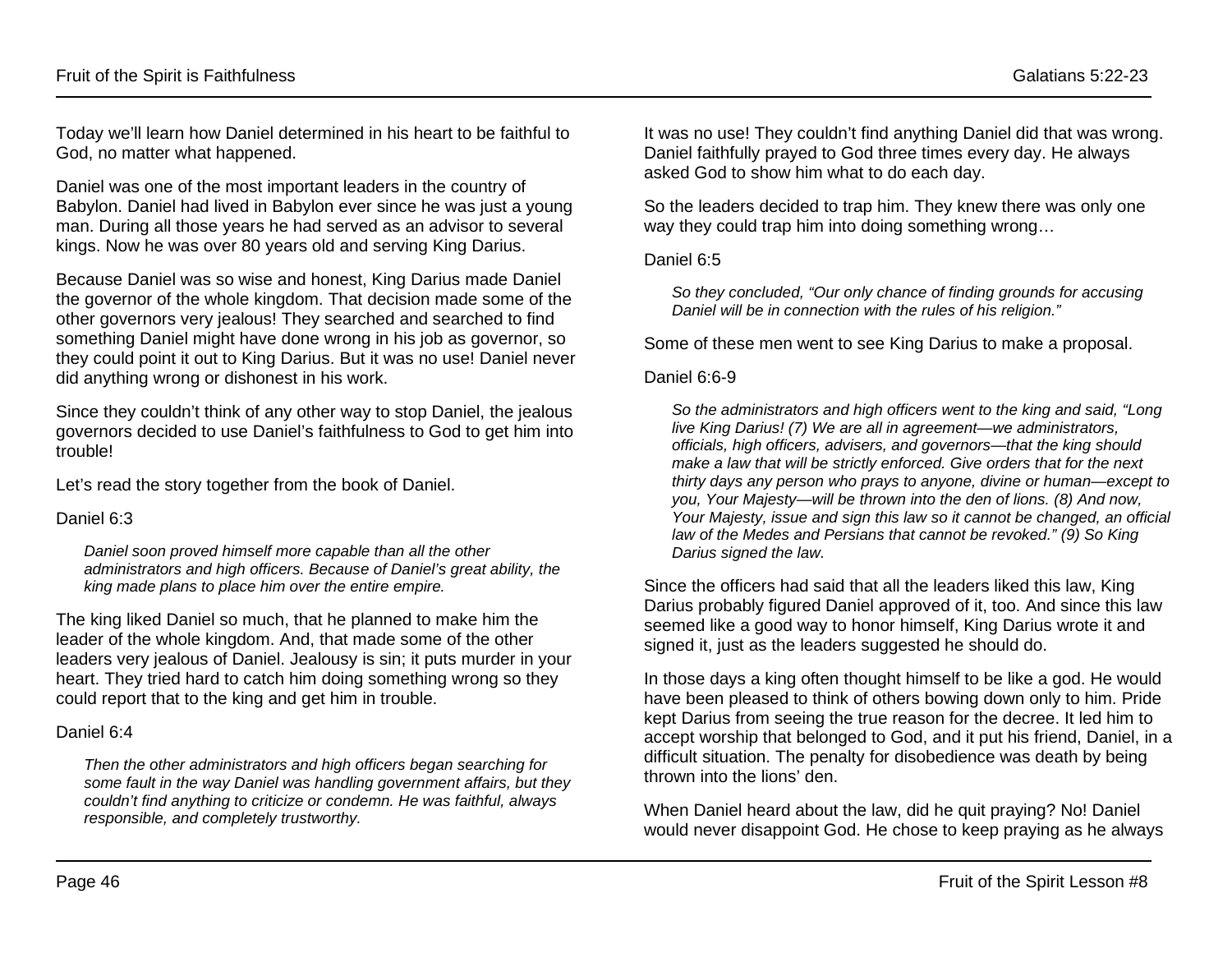Today we'll learn how Daniel determined in his heart to be faithful to God, no matter what happened.

Daniel was one of the most important leaders in the country of Babylon. Daniel had lived in Babylon ever since he was just a young man. During all those years he had served as an advisor to several kings. Now he was over 80 years old and serving King Darius.

Because Daniel was so wise and honest, King Darius made Daniel the governor of the whole kingdom. That decision made some of the other governors very jealous! They searched and searched to find something Daniel might have done wrong in his job as governor, so they could point it out to King Darius. But it was no use! Daniel never did anything wrong or dishonest in his work.

Since they couldn't think of any other way to stop Daniel, the jealous governors decided to use Daniel's faithfulness to God to get him into trouble!

Let's read the story together from the book of Daniel.

#### Daniel 6:3

*Daniel soon proved himself more capable than all the other administrators and high officers. Because of Daniel's great ability, the king made plans to place him over the entire empire.*

The king liked Daniel so much, that he planned to make him the leader of the whole kingdom. And, that made some of the other leaders very jealous of Daniel. Jealousy is sin; it puts murder in your heart. They tried hard to catch him doing something wrong so they could report that to the king and get him in trouble.

#### Daniel 6:4

*Then the other administrators and high officers began searching for some fault in the way Daniel was handling government affairs, but they couldn't find anything to criticize or condemn. He was faithful, always responsible, and completely trustworthy.*

It was no use! They couldn't find anything Daniel did that was wrong. Daniel faithfully prayed to God three times every day. He always asked God to show him what to do each day.

So the leaders decided to trap him. They knew there was only one way they could trap him into doing something wrong…

#### Daniel 6:5

*So they concluded, "Our only chance of finding grounds for accusing Daniel will be in connection with the rules of his religion."*

Some of these men went to see King Darius to make a proposal.

#### Daniel 6:6-9

*So the administrators and high officers went to the king and said, "Long live King Darius! (7) We are all in agreement—we administrators, officials, high officers, advisers, and governors—that the king should make a law that will be strictly enforced. Give orders that for the next thirty days any person who prays to anyone, divine or human—except to you, Your Majesty—will be thrown into the den of lions. (8) And now, Your Majesty, issue and sign this law so it cannot be changed, an official law of the Medes and Persians that cannot be revoked." (9) So King Darius signed the law.*

Since the officers had said that all the leaders liked this law, King Darius probably figured Daniel approved of it, too. And since this law seemed like a good way to honor himself, King Darius wrote it and signed it, just as the leaders suggested he should do.

In those days a king often thought himself to be like a god. He would have been pleased to think of others bowing down only to him. Pride kept Darius from seeing the true reason for the decree. It led him to accept worship that belonged to God, and it put his friend, Daniel, in a difficult situation. The penalty for disobedience was death by being thrown into the lions' den.

When Daniel heard about the law, did he quit praying? No! Daniel would never disappoint God. He chose to keep praying as he always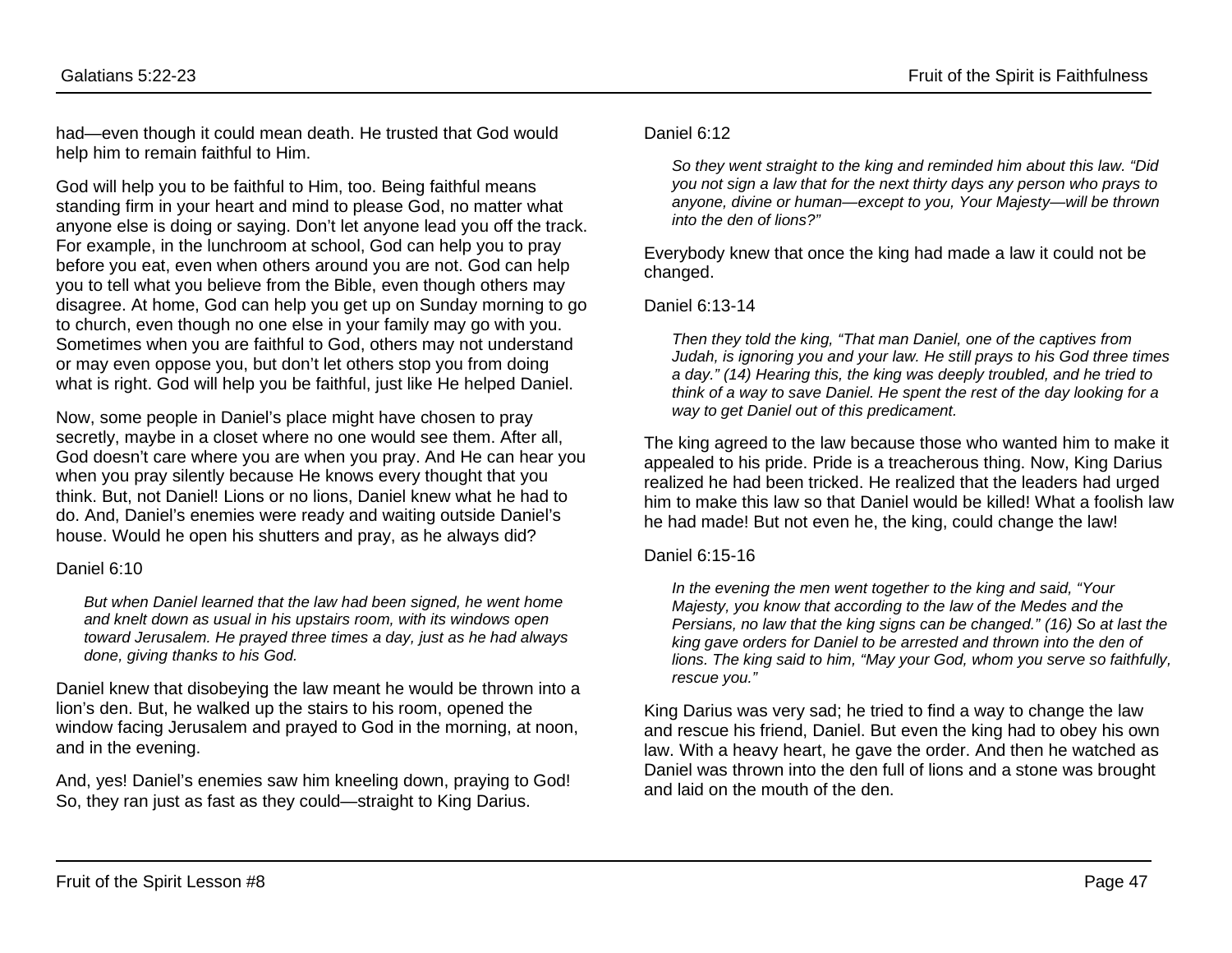had—even though it could mean death. He trusted that God would help him to remain faithful to Him.

God will help you to be faithful to Him, too. Being faithful means standing firm in your heart and mind to please God, no matter what anyone else is doing or saying. Don't let anyone lead you off the track. For example, in the lunchroom at school, God can help you to pray before you eat, even when others around you are not. God can help you to tell what you believe from the Bible, even though others may disagree. At home, God can help you get up on Sunday morning to go to church, even though no one else in your family may go with you. Sometimes when you are faithful to God, others may not understand or may even oppose you, but don't let others stop you from doing what is right. God will help you be faithful, just like He helped Daniel.

Now, some people in Daniel's place might have chosen to pray secretly, maybe in a closet where no one would see them. After all, God doesn't care where you are when you pray. And He can hear you when you pray silently because He knows every thought that you think. But, not Daniel! Lions or no lions, Daniel knew what he had to do. And, Daniel's enemies were ready and waiting outside Daniel's house. Would he open his shutters and pray, as he always did?

#### Daniel 6:10

*But when Daniel learned that the law had been signed, he went home and knelt down as usual in his upstairs room, with its windows open toward Jerusalem. He prayed three times a day, just as he had always done, giving thanks to his God.*

Daniel knew that disobeying the law meant he would be thrown into a lion's den. But, he walked up the stairs to his room, opened the window facing Jerusalem and prayed to God in the morning, at noon, and in the evening.

And, yes! Daniel's enemies saw him kneeling down, praying to God! So, they ran just as fast as they could—straight to King Darius.

#### Daniel 6:12

*So they went straight to the king and reminded him about this law. "Did you not sign a law that for the next thirty days any person who prays to anyone, divine or human—except to you, Your Majesty—will be thrown into the den of lions?"*

Everybody knew that once the king had made a law it could not be changed.

#### Daniel 6:13-14

*Then they told the king, "That man Daniel, one of the captives from Judah, is ignoring you and your law. He still prays to his God three times a day." (14) Hearing this, the king was deeply troubled, and he tried to think of a way to save Daniel. He spent the rest of the day looking for a way to get Daniel out of this predicament.*

The king agreed to the law because those who wanted him to make it appealed to his pride. Pride is a treacherous thing. Now, King Darius realized he had been tricked. He realized that the leaders had urged him to make this law so that Daniel would be killed! What a foolish law he had made! But not even he, the king, could change the law!

#### Daniel 6:15-16

*In the evening the men went together to the king and said, "Your Majesty, you know that according to the law of the Medes and the Persians, no law that the king signs can be changed." (16) So at last the king gave orders for Daniel to be arrested and thrown into the den of lions. The king said to him, "May your God, whom you serve so faithfully, rescue you."*

King Darius was very sad; he tried to find a way to change the law and rescue his friend, Daniel. But even the king had to obey his own law. With a heavy heart, he gave the order. And then he watched as Daniel was thrown into the den full of lions and a stone was brought and laid on the mouth of the den.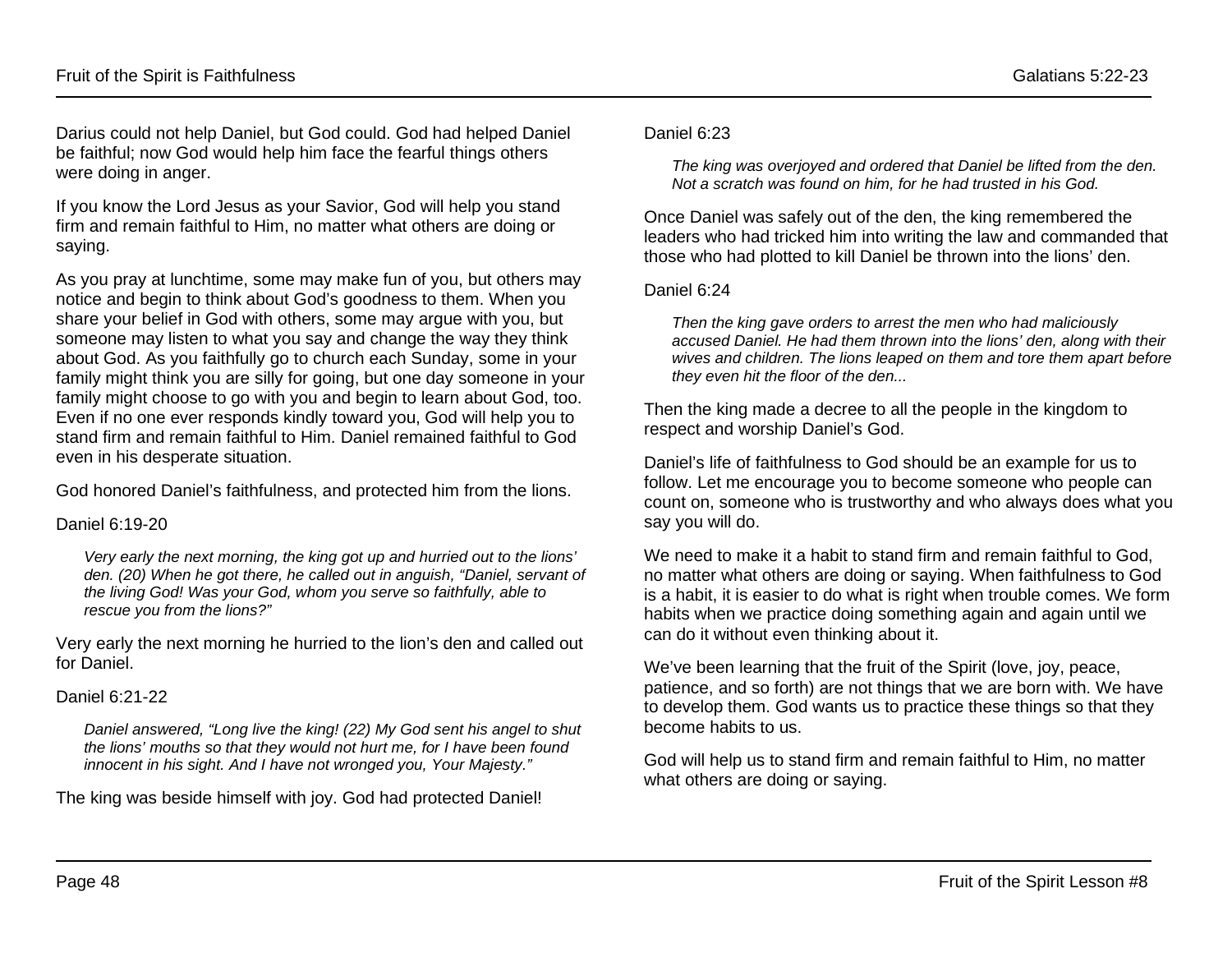Darius could not help Daniel, but God could. God had helped Daniel be faithful; now God would help him face the fearful things others were doing in anger.

If you know the Lord Jesus as your Savior, God will help you stand firm and remain faithful to Him, no matter what others are doing or saying.

As you pray at lunchtime, some may make fun of you, but others may notice and begin to think about God's goodness to them. When you share your belief in God with others, some may argue with you, but someone may listen to what you say and change the way they think about God. As you faithfully go to church each Sunday, some in your family might think you are silly for going, but one day someone in your family might choose to go with you and begin to learn about God, too. Even if no one ever responds kindly toward you, God will help you to stand firm and remain faithful to Him. Daniel remained faithful to God even in his desperate situation.

God honored Daniel's faithfulness, and protected him from the lions.

#### Daniel 6:19-20

*Very early the next morning, the king got up and hurried out to the lions' den. (20) When he got there, he called out in anguish, "Daniel, servant of the living God! Was your God, whom you serve so faithfully, able to rescue you from the lions?"*

Very early the next morning he hurried to the lion's den and called out for Daniel.

#### Daniel 6:21-22

*Daniel answered, "Long live the king! (22) My God sent his angel to shut the lions' mouths so that they would not hurt me, for I have been found innocent in his sight. And I have not wronged you, Your Majesty."*

The king was beside himself with joy. God had protected Daniel!

#### Daniel 6:23

*The king was overjoyed and ordered that Daniel be lifted from the den. Not a scratch was found on him, for he had trusted in his God.* 

Once Daniel was safely out of the den, the king remembered the leaders who had tricked him into writing the law and commanded that those who had plotted to kill Daniel be thrown into the lions' den.

#### Daniel 6:24

*Then the king gave orders to arrest the men who had maliciously accused Daniel. He had them thrown into the lions' den, along with their wives and children. The lions leaped on them and tore them apart before they even hit the floor of the den...*

Then the king made a decree to all the people in the kingdom to respect and worship Daniel's God.

Daniel's life of faithfulness to God should be an example for us to follow. Let me encourage you to become someone who people can count on, someone who is trustworthy and who always does what you say you will do.

We need to make it a habit to stand firm and remain faithful to God. no matter what others are doing or saying. When faithfulness to God is a habit, it is easier to do what is right when trouble comes. We form habits when we practice doing something again and again until we can do it without even thinking about it.

We've been learning that the fruit of the Spirit (love, joy, peace, patience, and so forth) are not things that we are born with. We have to develop them. God wants us to practice these things so that they become habits to us.

God will help us to stand firm and remain faithful to Him, no matter what others are doing or saying.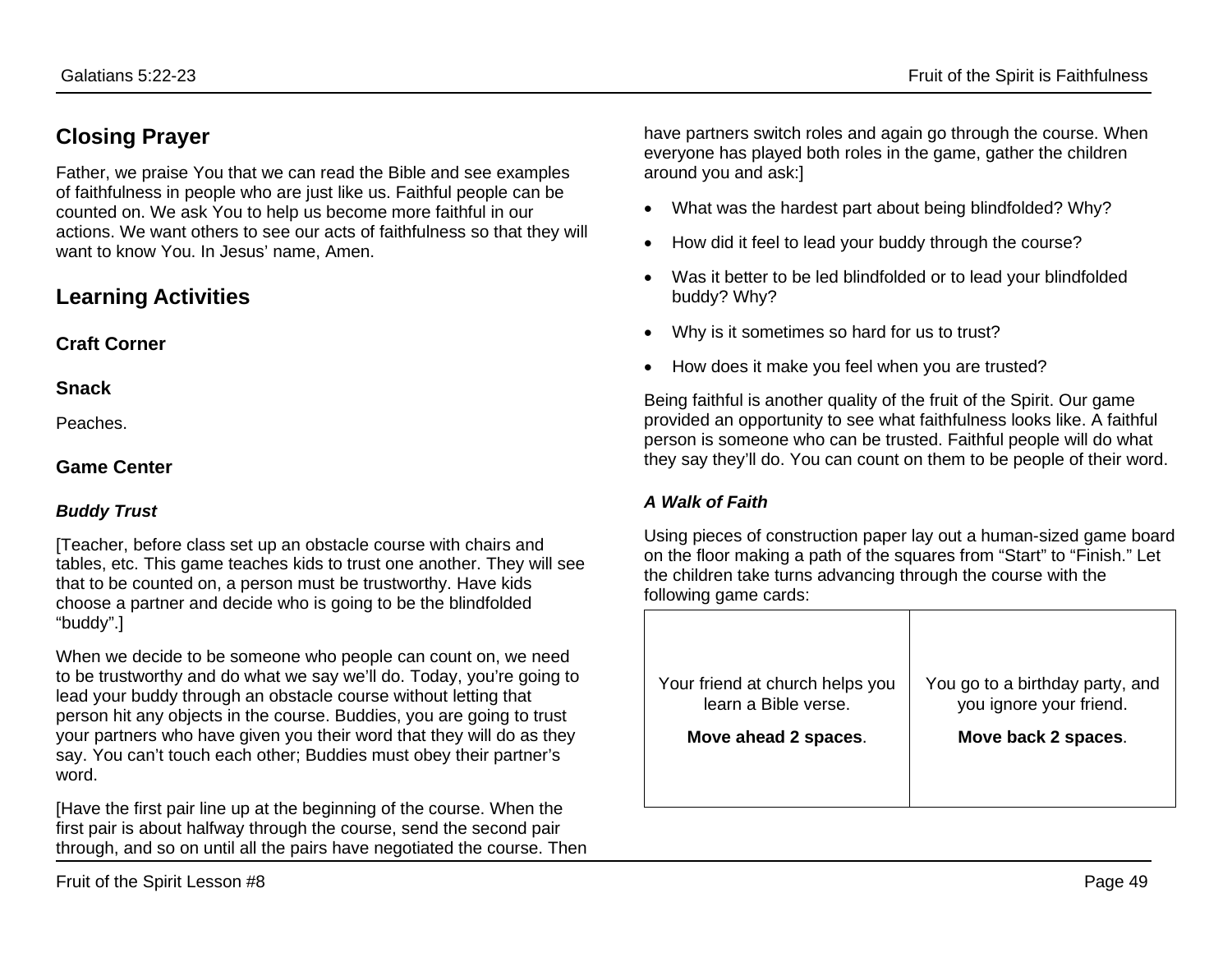# **Closing Prayer**

Father, we praise You that we can read the Bible and see examples of faithfulness in people who are just like us. Faithful people can be counted on. We ask You to help us become more faithful in our actions. We want others to see our acts of faithfulness so that they will want to know You. In Jesus' name, Amen.

# **Learning Activities**

#### **Craft Corner**

**Snack**

Peaches.

#### **Game Center**

#### *Buddy Trust*

[Teacher, before class set up an obstacle course with chairs and tables, etc. This game teaches kids to trust one another. They will see that to be counted on, a person must be trustworthy. Have kids choose a partner and decide who is going to be the blindfolded "buddy".]

When we decide to be someone who people can count on, we need to be trustworthy and do what we say we'll do. Today, you're going to lead your buddy through an obstacle course without letting that person hit any objects in the course. Buddies, you are going to trust your partners who have given you their word that they will do as they say. You can't touch each other; Buddies must obey their partner's word.

[Have the first pair line up at the beginning of the course. When the first pair is about halfway through the course, send the second pair through, and so on until all the pairs have negotiated the course. Then have partners switch roles and again go through the course. When everyone has played both roles in the game, gather the children around you and ask:]

- What was the hardest part about being blindfolded? Why?
- How did it feel to lead your buddy through the course?
- Was it better to be led blindfolded or to lead your blindfolded buddy? Why?
- Why is it sometimes so hard for us to trust?
- How does it make you feel when you are trusted?

Being faithful is another quality of the fruit of the Spirit. Our game provided an opportunity to see what faithfulness looks like. A faithful person is someone who can be trusted. Faithful people will do what they say they'll do. You can count on them to be people of their word.

#### *A Walk of Faith*

Using pieces of construction paper lay out a human-sized game board on the floor making a path of the squares from "Start" to "Finish." Let the children take turns advancing through the course with the following game cards:

| Your friend at church helps you | You go to a birthday party, and |
|---------------------------------|---------------------------------|
| learn a Bible verse.            | you ignore your friend.         |
| Move ahead 2 spaces.            | Move back 2 spaces.             |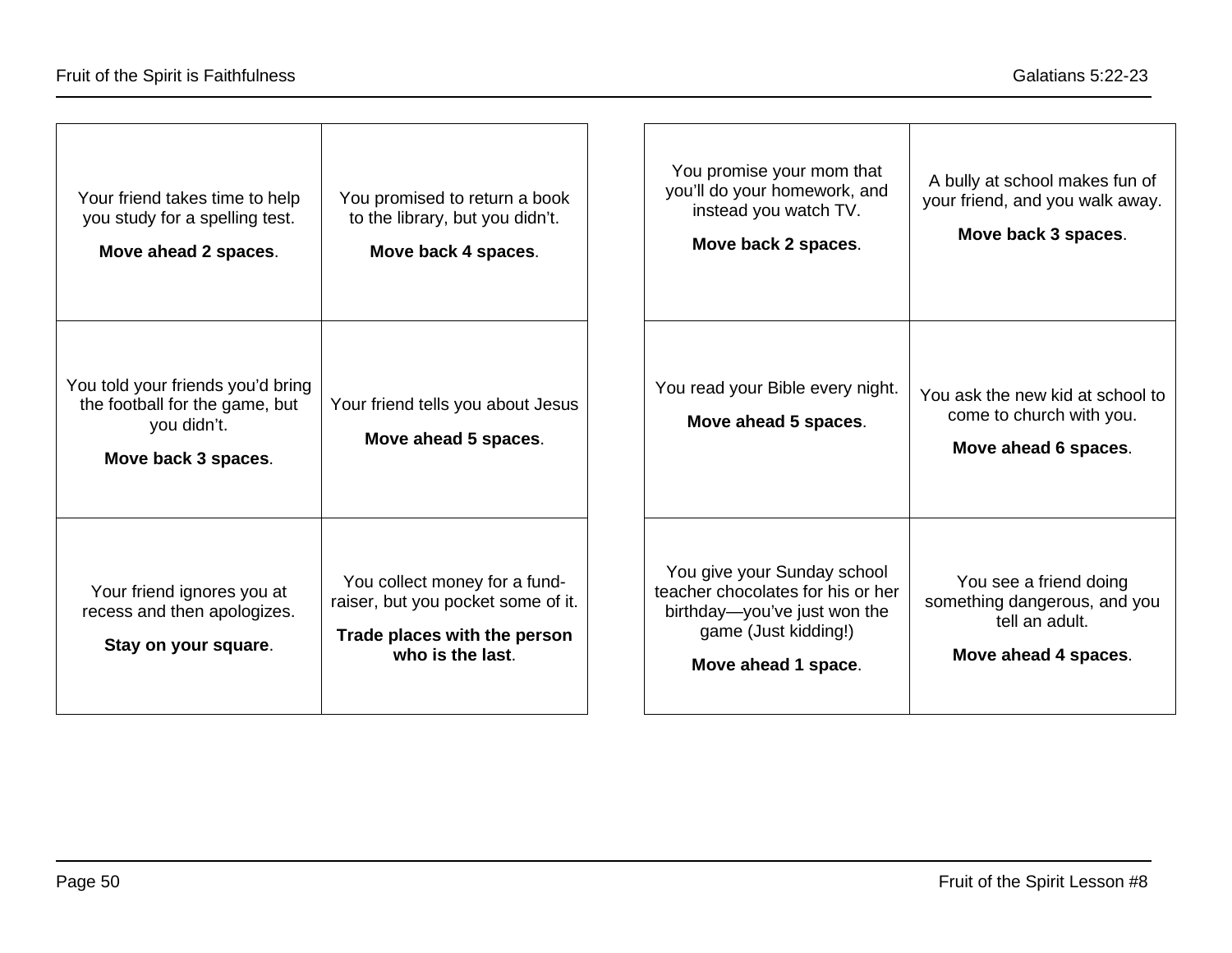| Your friend takes time to help<br>you study for a spelling test.<br>Move ahead 2 spaces.                  | You promised to return a book<br>to the library, but you didn't.<br>Move back 4 spaces.                                 | You promise your mom that<br>A bully at school makes fun of<br>you'll do your homework, and<br>your friend, and you walk away.<br>instead you watch TV.<br>Move back 3 spaces.<br>Move back 2 spaces.                                               |
|-----------------------------------------------------------------------------------------------------------|-------------------------------------------------------------------------------------------------------------------------|-----------------------------------------------------------------------------------------------------------------------------------------------------------------------------------------------------------------------------------------------------|
| You told your friends you'd bring<br>the football for the game, but<br>you didn't.<br>Move back 3 spaces. | Your friend tells you about Jesus<br>Move ahead 5 spaces.                                                               | You read your Bible every night.<br>You ask the new kid at school to<br>come to church with you.<br>Move ahead 5 spaces.<br>Move ahead 6 spaces.                                                                                                    |
| Your friend ignores you at<br>recess and then apologizes.<br>Stay on your square.                         | You collect money for a fund-<br>raiser, but you pocket some of it.<br>Trade places with the person<br>who is the last. | You give your Sunday school<br>You see a friend doing<br>teacher chocolates for his or her<br>something dangerous, and you<br>birthday-you've just won the<br>tell an adult.<br>game (Just kidding!)<br>Move ahead 4 spaces.<br>Move ahead 1 space. |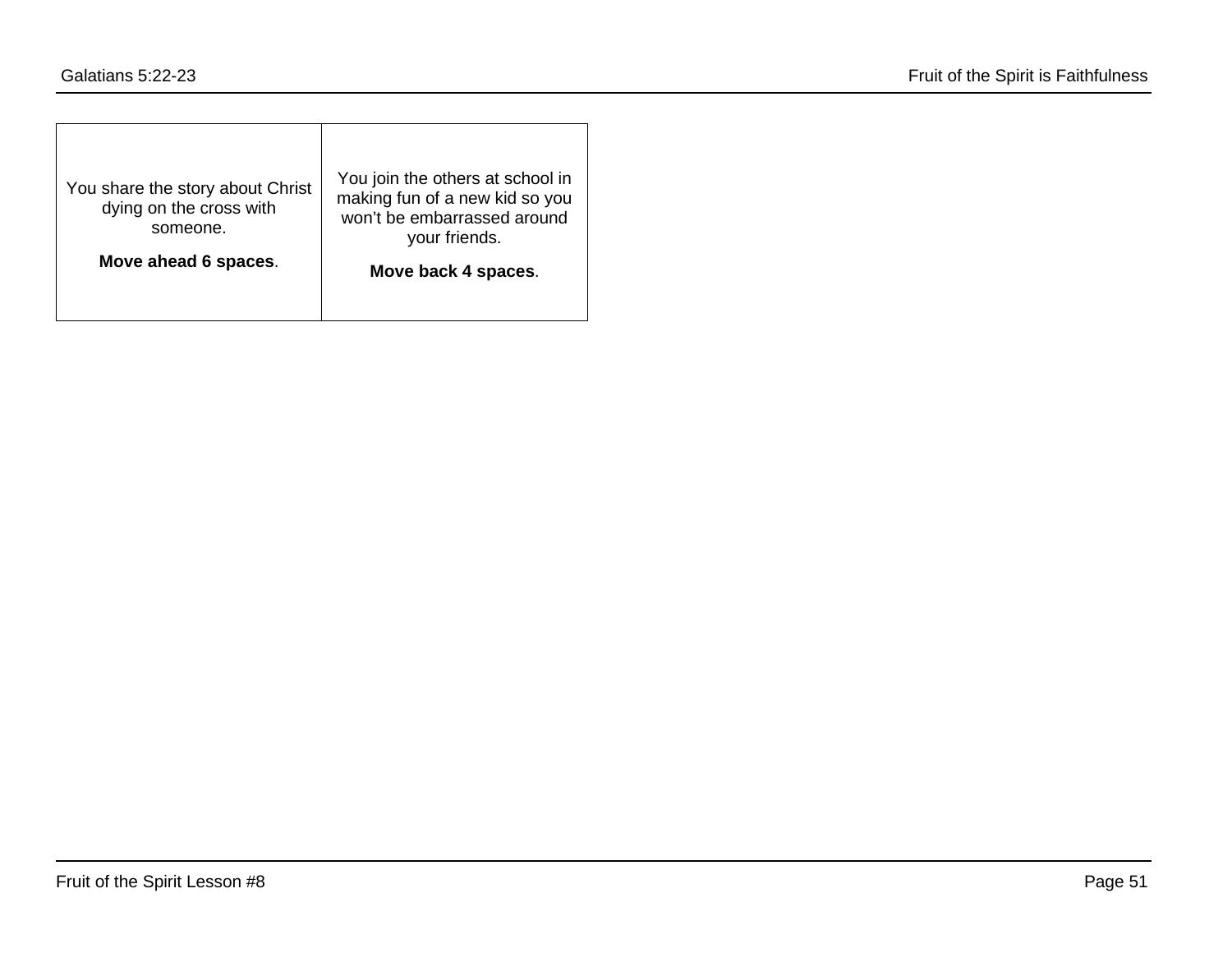| You join the others at school in<br>making fun of a new kid so you<br>won't be embarrassed around<br>your friends. |
|--------------------------------------------------------------------------------------------------------------------|
| Move back 4 spaces.                                                                                                |
|                                                                                                                    |